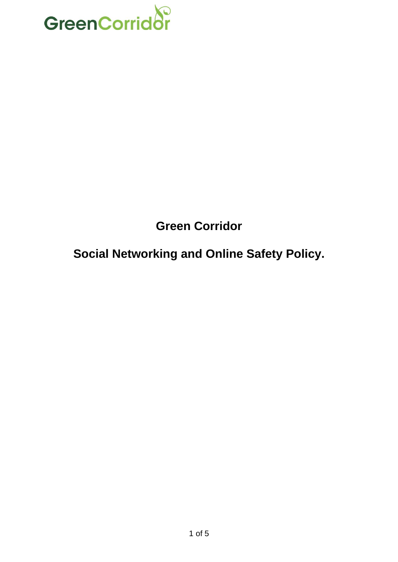

# **Green Corridor**

## **Social Networking and Online Safety Policy.**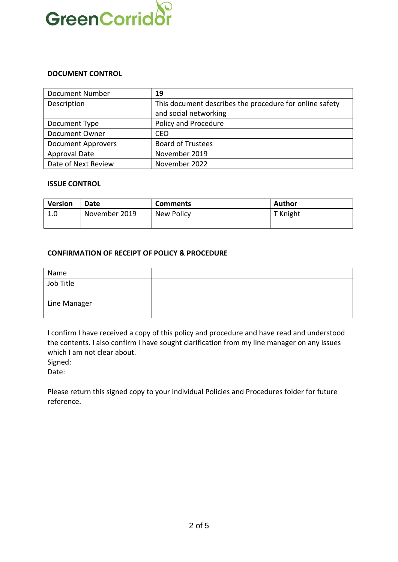

#### **DOCUMENT CONTROL**

| <b>Document Number</b>    | 19                                                      |  |
|---------------------------|---------------------------------------------------------|--|
| Description               | This document describes the procedure for online safety |  |
|                           | and social networking                                   |  |
| Document Type             | Policy and Procedure                                    |  |
| <b>Document Owner</b>     | <b>CEO</b>                                              |  |
| <b>Document Approvers</b> | <b>Board of Trustees</b>                                |  |
| Approval Date             | November 2019                                           |  |
| Date of Next Review       | November 2022                                           |  |

#### **ISSUE CONTROL**

| <b>Version</b> | Date          | <b>Comments</b> | <b>Author</b> |
|----------------|---------------|-----------------|---------------|
| 1.0            | November 2019 | New Policy      | T Knight      |

#### **CONFIRMATION OF RECEIPT OF POLICY & PROCEDURE**

| Name         |  |
|--------------|--|
| Job Title    |  |
| Line Manager |  |

I confirm I have received a copy of this policy and procedure and have read and understood the contents. I also confirm I have sought clarification from my line manager on any issues which I am not clear about.

Signed:

Date:

Please return this signed copy to your individual Policies and Procedures folder for future reference.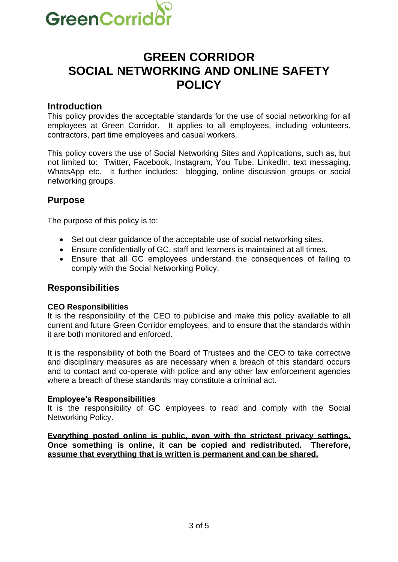

## **GREEN CORRIDOR SOCIAL NETWORKING AND ONLINE SAFETY POLICY**

#### **Introduction**

This policy provides the acceptable standards for the use of social networking for all employees at Green Corridor. It applies to all employees, including volunteers, contractors, part time employees and casual workers.

This policy covers the use of Social Networking Sites and Applications, such as, but not limited to: Twitter, Facebook, Instagram, You Tube, LinkedIn, text messaging, WhatsApp etc. It further includes: blogging, online discussion groups or social networking groups.

### **Purpose**

The purpose of this policy is to:

- Set out clear guidance of the acceptable use of social networking sites.
- Ensure confidentially of GC, staff and learners is maintained at all times.
- Ensure that all GC employees understand the consequences of failing to comply with the Social Networking Policy.

### **Responsibilities**

#### **CEO Responsibilities**

It is the responsibility of the CEO to publicise and make this policy available to all current and future Green Corridor employees, and to ensure that the standards within it are both monitored and enforced.

It is the responsibility of both the Board of Trustees and the CEO to take corrective and disciplinary measures as are necessary when a breach of this standard occurs and to contact and co-operate with police and any other law enforcement agencies where a breach of these standards may constitute a criminal act.

#### **Employee's Responsibilities**

It is the responsibility of GC employees to read and comply with the Social Networking Policy.

**Everything posted online is public, even with the strictest privacy settings. Once something is online, it can be copied and redistributed. Therefore, assume that everything that is written is permanent and can be shared.**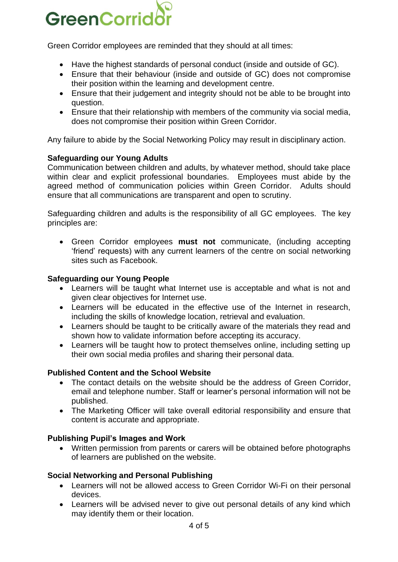

Green Corridor employees are reminded that they should at all times:

- Have the highest standards of personal conduct (inside and outside of GC).
- Ensure that their behaviour (inside and outside of GC) does not compromise their position within the learning and development centre.
- Ensure that their judgement and integrity should not be able to be brought into question.
- Ensure that their relationship with members of the community via social media, does not compromise their position within Green Corridor.

Any failure to abide by the Social Networking Policy may result in disciplinary action.

#### **Safeguarding our Young Adults**

Communication between children and adults, by whatever method, should take place within clear and explicit professional boundaries. Employees must abide by the agreed method of communication policies within Green Corridor. Adults should ensure that all communications are transparent and open to scrutiny.

Safeguarding children and adults is the responsibility of all GC employees. The key principles are:

• Green Corridor employees **must not** communicate, (including accepting 'friend' requests) with any current learners of the centre on social networking sites such as Facebook.

#### **Safeguarding our Young People**

- Learners will be taught what Internet use is acceptable and what is not and given clear objectives for Internet use.
- Learners will be educated in the effective use of the Internet in research, including the skills of knowledge location, retrieval and evaluation.
- Learners should be taught to be critically aware of the materials they read and shown how to validate information before accepting its accuracy.
- Learners will be taught how to protect themselves online, including setting up their own social media profiles and sharing their personal data.

#### **Published Content and the School Website**

- The contact details on the website should be the address of Green Corridor, email and telephone number. Staff or learner's personal information will not be published.
- The Marketing Officer will take overall editorial responsibility and ensure that content is accurate and appropriate.

#### **Publishing Pupil's Images and Work**

• Written permission from parents or carers will be obtained before photographs of learners are published on the website.

#### **Social Networking and Personal Publishing**

- Learners will not be allowed access to Green Corridor Wi-Fi on their personal devices.
- Learners will be advised never to give out personal details of any kind which may identify them or their location.